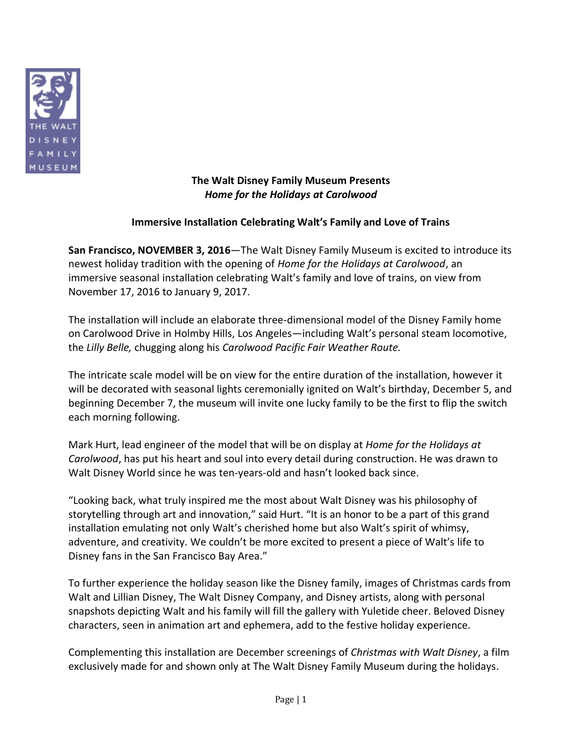

**The Walt Disney Family Museum Presents** *Home for the Holidays at Carolwood*

## **Immersive Installation Celebrating Walt's Family and Love of Trains**

**San Francisco, NOVEMBER 3, 2016**—The Walt Disney Family Museum is excited to introduce its newest holiday tradition with the opening of *Home for the Holidays at Carolwood*, an immersive seasonal installation celebrating Walt's family and love of trains, on view from November 17, 2016 to January 9, 2017.

The installation will include an elaborate three-dimensional model of the Disney Family home on Carolwood Drive in Holmby Hills, Los Angeles—including Walt's personal steam locomotive, the *Lilly Belle,* chugging along his *Carolwood Pacific Fair Weather Route.*

The intricate scale model will be on view for the entire duration of the installation, however it will be decorated with seasonal lights ceremonially ignited on Walt's birthday, December 5, and beginning December 7, the museum will invite one lucky family to be the first to flip the switch each morning following.

Mark Hurt, lead engineer of the model that will be on display at *Home for the Holidays at Carolwood*, has put his heart and soul into every detail during construction. He was drawn to Walt Disney World since he was ten-years-old and hasn't looked back since.

"Looking back, what truly inspired me the most about Walt Disney was his philosophy of storytelling through art and innovation," said Hurt. "It is an honor to be a part of this grand installation emulating not only Walt's cherished home but also Walt's spirit of whimsy, adventure, and creativity. We couldn't be more excited to present a piece of Walt's life to Disney fans in the San Francisco Bay Area."

To further experience the holiday season like the Disney family, images of Christmas cards from Walt and Lillian Disney, The Walt Disney Company, and Disney artists, along with personal snapshots depicting Walt and his family will fill the gallery with Yuletide cheer. Beloved Disney characters, seen in animation art and ephemera, add to the festive holiday experience.

Complementing this installation are December screenings of *Christmas with Walt Disney*, a film exclusively made for and shown only at The Walt Disney Family Museum during the holidays.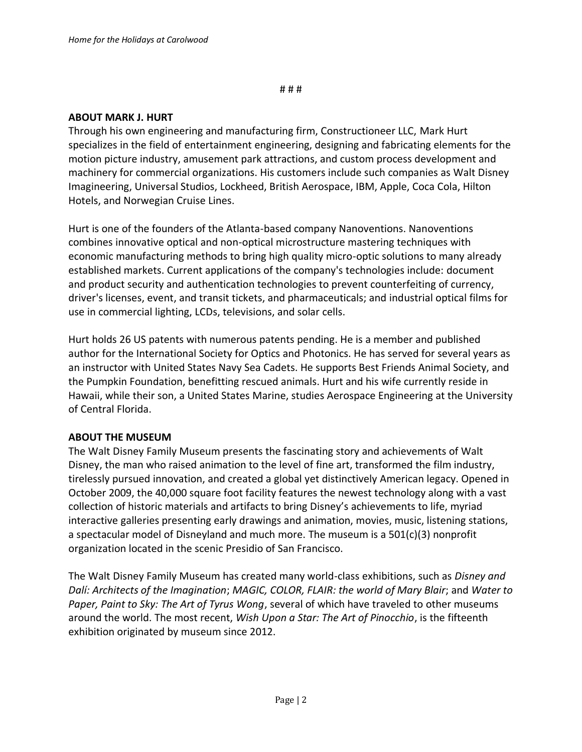# # #

## **ABOUT MARK J. HURT**

Through his own engineering and manufacturing firm, Constructioneer LLC, Mark Hurt specializes in the field of entertainment engineering, designing and fabricating elements for the motion picture industry, amusement park attractions, and custom process development and machinery for commercial organizations. His customers include such companies as Walt Disney Imagineering, Universal Studios, Lockheed, British Aerospace, IBM, Apple, Coca Cola, Hilton Hotels, and Norwegian Cruise Lines.

Hurt is one of the founders of the Atlanta-based company Nanoventions. Nanoventions combines innovative optical and non-optical microstructure mastering techniques with economic manufacturing methods to bring high quality micro-optic solutions to many already established markets. Current applications of the company's technologies include: document and product security and authentication technologies to prevent counterfeiting of currency, driver's licenses, event, and transit tickets, and pharmaceuticals; and industrial optical films for use in commercial lighting, LCDs, televisions, and solar cells.

Hurt holds 26 US patents with numerous patents pending. He is a member and published author for the International Society for Optics and Photonics. He has served for several years as an instructor with United States Navy Sea Cadets. He supports Best Friends Animal Society, and the Pumpkin Foundation, benefitting rescued animals. Hurt and his wife currently reside in Hawaii, while their son, a United States Marine, studies Aerospace Engineering at the University of Central Florida.

## **ABOUT THE MUSEUM**

The Walt Disney Family Museum presents the fascinating story and achievements of Walt Disney, the man who raised animation to the level of fine art, transformed the film industry, tirelessly pursued innovation, and created a global yet distinctively American legacy. Opened in October 2009, the 40,000 square foot facility features the newest technology along with a vast collection of historic materials and artifacts to bring Disney's achievements to life, myriad interactive galleries presenting early drawings and animation, movies, music, listening stations, a spectacular model of Disneyland and much more. The museum is a 501(c)(3) nonprofit organization located in the scenic Presidio of San Francisco.

The Walt Disney Family Museum has created many world-class exhibitions, such as *Disney and Dalí: Architects of the Imagination*; *MAGIC, COLOR, FLAIR: the world of Mary Blair*; and *Water to Paper, Paint to Sky: The Art of Tyrus Wong*, several of which have traveled to other museums around the world. The most recent, *Wish Upon a Star: The Art of Pinocchio*, is the fifteenth exhibition originated by museum since 2012.